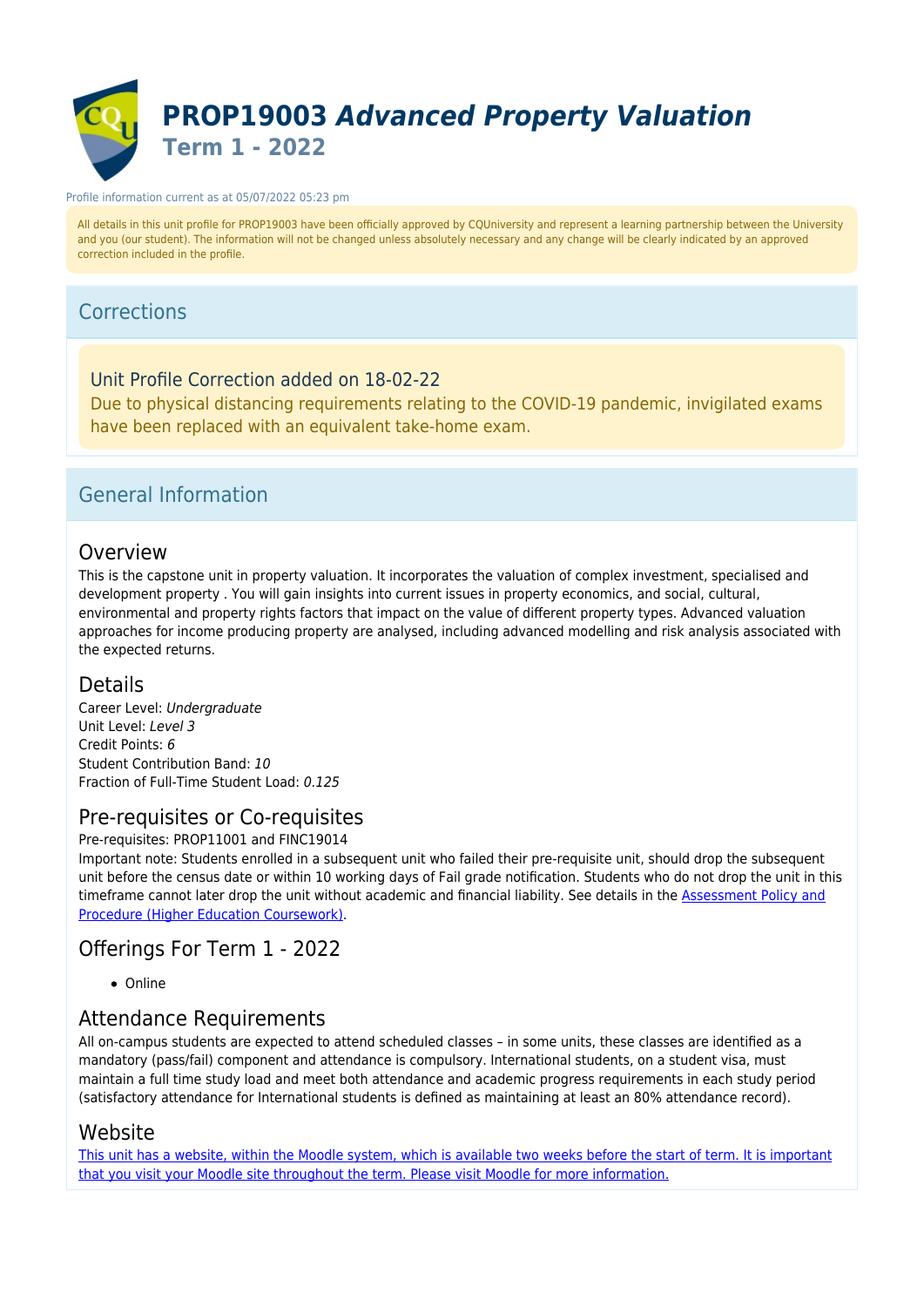

#### Profile information current as at 05/07/2022 05:23 pm

All details in this unit profile for PROP19003 have been officially approved by CQUniversity and represent a learning partnership between the University and you (our student). The information will not be changed unless absolutely necessary and any change will be clearly indicated by an approved correction included in the profile.

### Corrections

Unit Profile Correction added on 18-02-22 Due to physical distancing requirements relating to the COVID-19 pandemic, invigilated exams have been replaced with an equivalent take-home exam.

### General Information

### Overview

This is the capstone unit in property valuation. It incorporates the valuation of complex investment, specialised and development property . You will gain insights into current issues in property economics, and social, cultural, environmental and property rights factors that impact on the value of different property types. Advanced valuation approaches for income producing property are analysed, including advanced modelling and risk analysis associated with the expected returns.

### Details

Career Level: Undergraduate Unit Level: Level 3 Credit Points: 6 Student Contribution Band: 10 Fraction of Full-Time Student Load: 0.125

### Pre-requisites or Co-requisites

Pre-requisites: PROP11001 and FINC19014

Important note: Students enrolled in a subsequent unit who failed their pre-requisite unit, should drop the subsequent unit before the census date or within 10 working days of Fail grade notification. Students who do not drop the unit in this timeframe cannot later drop the unit without academic and financial liability. See details in the [Assessment Policy and](https://www.cqu.edu.au/policy) [Procedure \(Higher Education Coursework\)](https://www.cqu.edu.au/policy).

### Offerings For Term 1 - 2022

• Online

### Attendance Requirements

All on-campus students are expected to attend scheduled classes – in some units, these classes are identified as a mandatory (pass/fail) component and attendance is compulsory. International students, on a student visa, must maintain a full time study load and meet both attendance and academic progress requirements in each study period (satisfactory attendance for International students is defined as maintaining at least an 80% attendance record).

### Website

[This unit has a website, within the Moodle system, which is available two weeks before the start of term. It is important](https://moodle.cqu.edu.au) [that you visit your Moodle site throughout the term. Please visit Moodle for more information.](https://moodle.cqu.edu.au)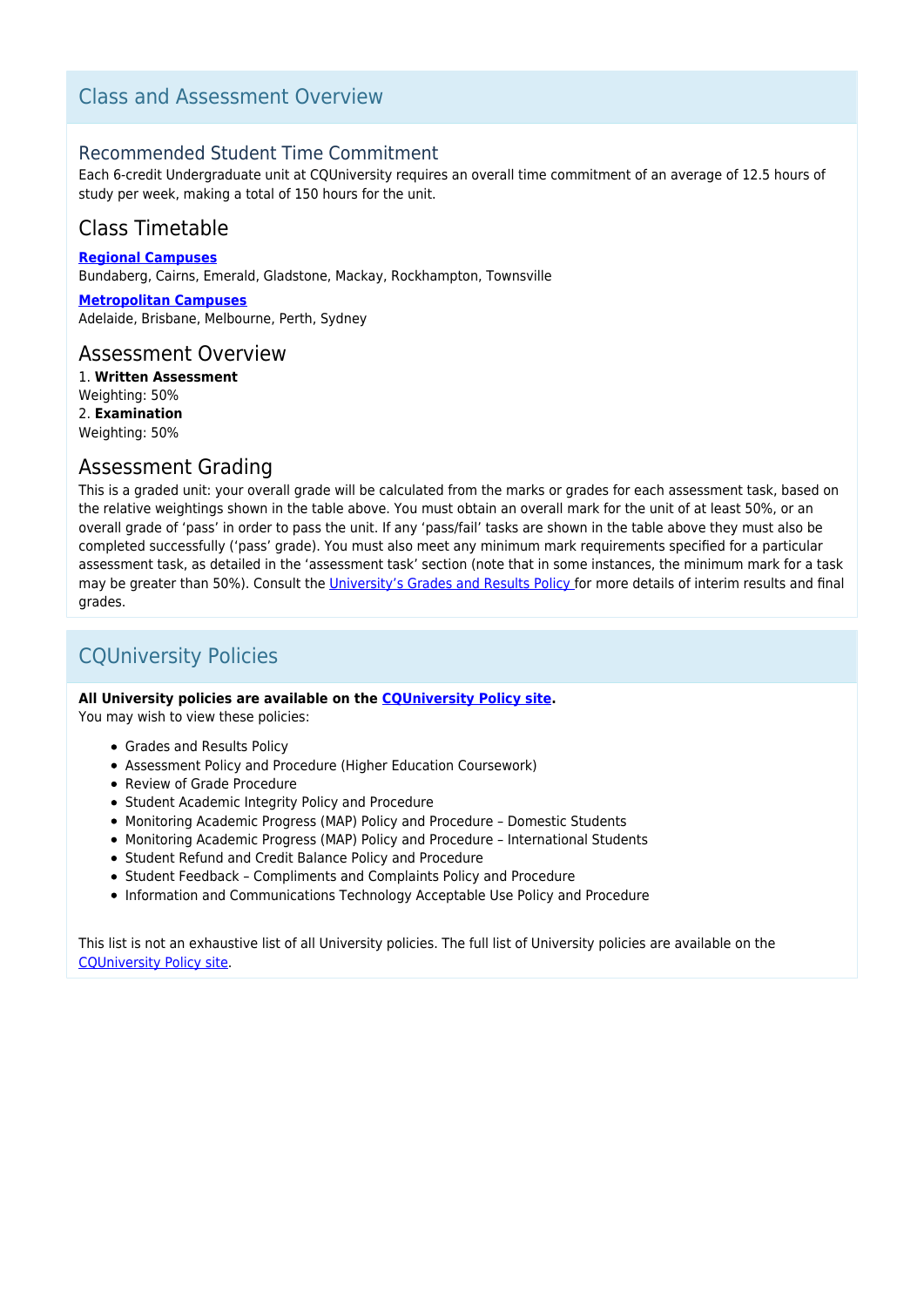## Class and Assessment Overview

### Recommended Student Time Commitment

Each 6-credit Undergraduate unit at CQUniversity requires an overall time commitment of an average of 12.5 hours of study per week, making a total of 150 hours for the unit.

## Class Timetable

**[Regional Campuses](https://handbook.cqu.edu.au/facet/timetables)** Bundaberg, Cairns, Emerald, Gladstone, Mackay, Rockhampton, Townsville

**[Metropolitan Campuses](https://handbook.cqu.edu.au/facet/timetables)** Adelaide, Brisbane, Melbourne, Perth, Sydney

### Assessment Overview

1. **Written Assessment** Weighting: 50% 2. **Examination** Weighting: 50%

### Assessment Grading

This is a graded unit: your overall grade will be calculated from the marks or grades for each assessment task, based on the relative weightings shown in the table above. You must obtain an overall mark for the unit of at least 50%, or an overall grade of 'pass' in order to pass the unit. If any 'pass/fail' tasks are shown in the table above they must also be completed successfully ('pass' grade). You must also meet any minimum mark requirements specified for a particular assessment task, as detailed in the 'assessment task' section (note that in some instances, the minimum mark for a task may be greater than 50%). Consult the [University's Grades and Results Policy](https://www.cqu.edu.au/policy) for more details of interim results and final grades.

## CQUniversity Policies

#### **All University policies are available on the [CQUniversity Policy site.](https://policy.cqu.edu.au/)**

You may wish to view these policies:

- Grades and Results Policy
- Assessment Policy and Procedure (Higher Education Coursework)
- Review of Grade Procedure
- Student Academic Integrity Policy and Procedure
- Monitoring Academic Progress (MAP) Policy and Procedure Domestic Students
- Monitoring Academic Progress (MAP) Policy and Procedure International Students
- Student Refund and Credit Balance Policy and Procedure
- Student Feedback Compliments and Complaints Policy and Procedure
- Information and Communications Technology Acceptable Use Policy and Procedure

This list is not an exhaustive list of all University policies. The full list of University policies are available on the [CQUniversity Policy site.](https://policy.cqu.edu.au/)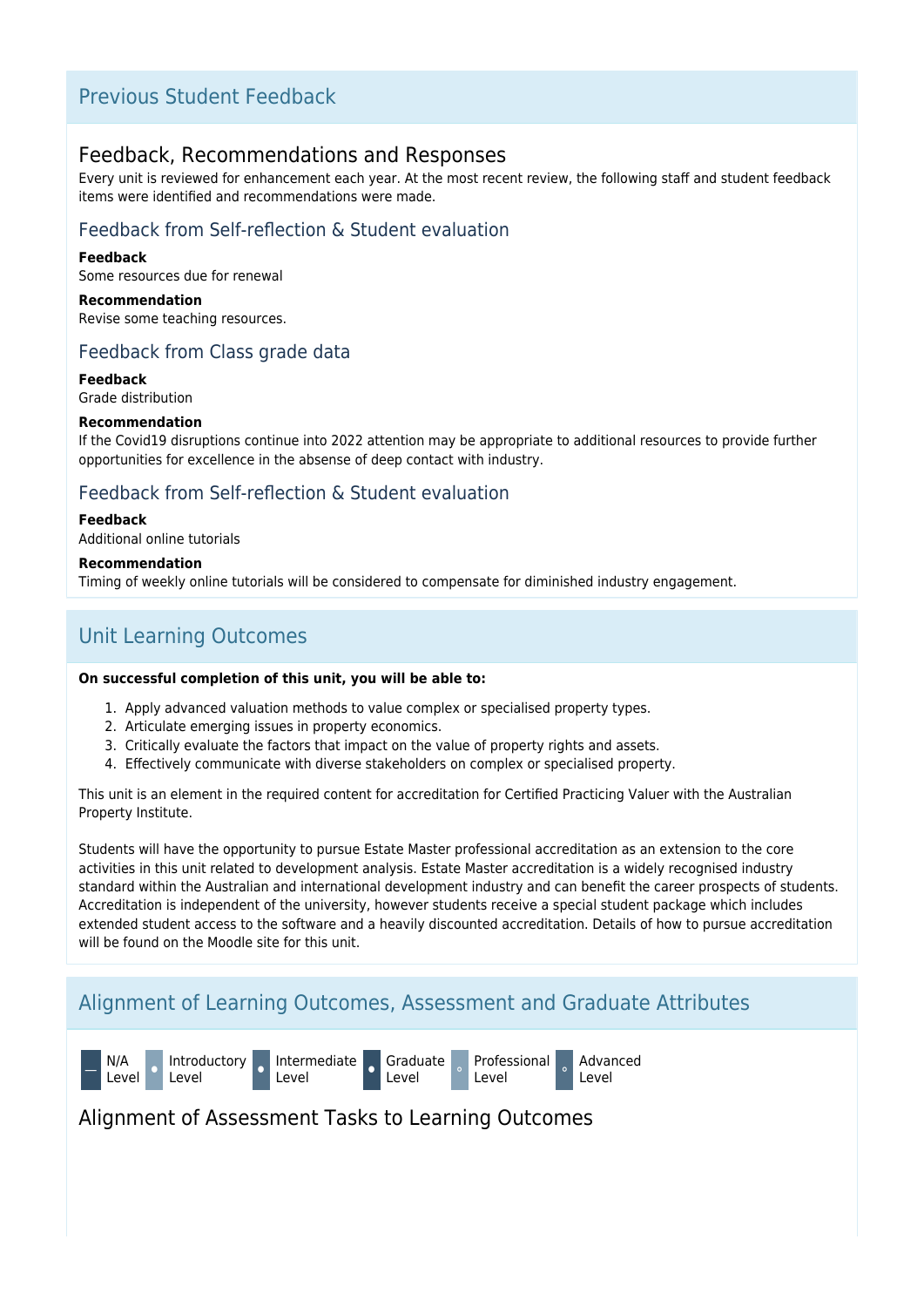## Previous Student Feedback

### Feedback, Recommendations and Responses

Every unit is reviewed for enhancement each year. At the most recent review, the following staff and student feedback items were identified and recommendations were made.

### Feedback from Self-reflection & Student evaluation

#### **Feedback**

Some resources due for renewal

**Recommendation** Revise some teaching resources.

### Feedback from Class grade data

**Feedback**

Grade distribution

### **Recommendation**

If the Covid19 disruptions continue into 2022 attention may be appropriate to additional resources to provide further opportunities for excellence in the absense of deep contact with industry.

### Feedback from Self-reflection & Student evaluation

#### **Feedback**

Additional online tutorials

#### **Recommendation**

Timing of weekly online tutorials will be considered to compensate for diminished industry engagement.

## Unit Learning Outcomes

#### **On successful completion of this unit, you will be able to:**

- 1. Apply advanced valuation methods to value complex or specialised property types.
- 2. Articulate emerging issues in property economics.
- 3. Critically evaluate the factors that impact on the value of property rights and assets.
- 4. Effectively communicate with diverse stakeholders on complex or specialised property.

This unit is an element in the required content for accreditation for Certified Practicing Valuer with the Australian Property Institute.

Students will have the opportunity to pursue Estate Master professional accreditation as an extension to the core activities in this unit related to development analysis. Estate Master accreditation is a widely recognised industry standard within the Australian and international development industry and can benefit the career prospects of students. Accreditation is independent of the university, however students receive a special student package which includes extended student access to the software and a heavily discounted accreditation. Details of how to pursue accreditation will be found on the Moodle site for this unit.

## Alignment of Learning Outcomes, Assessment and Graduate Attributes



### Alignment of Assessment Tasks to Learning Outcomes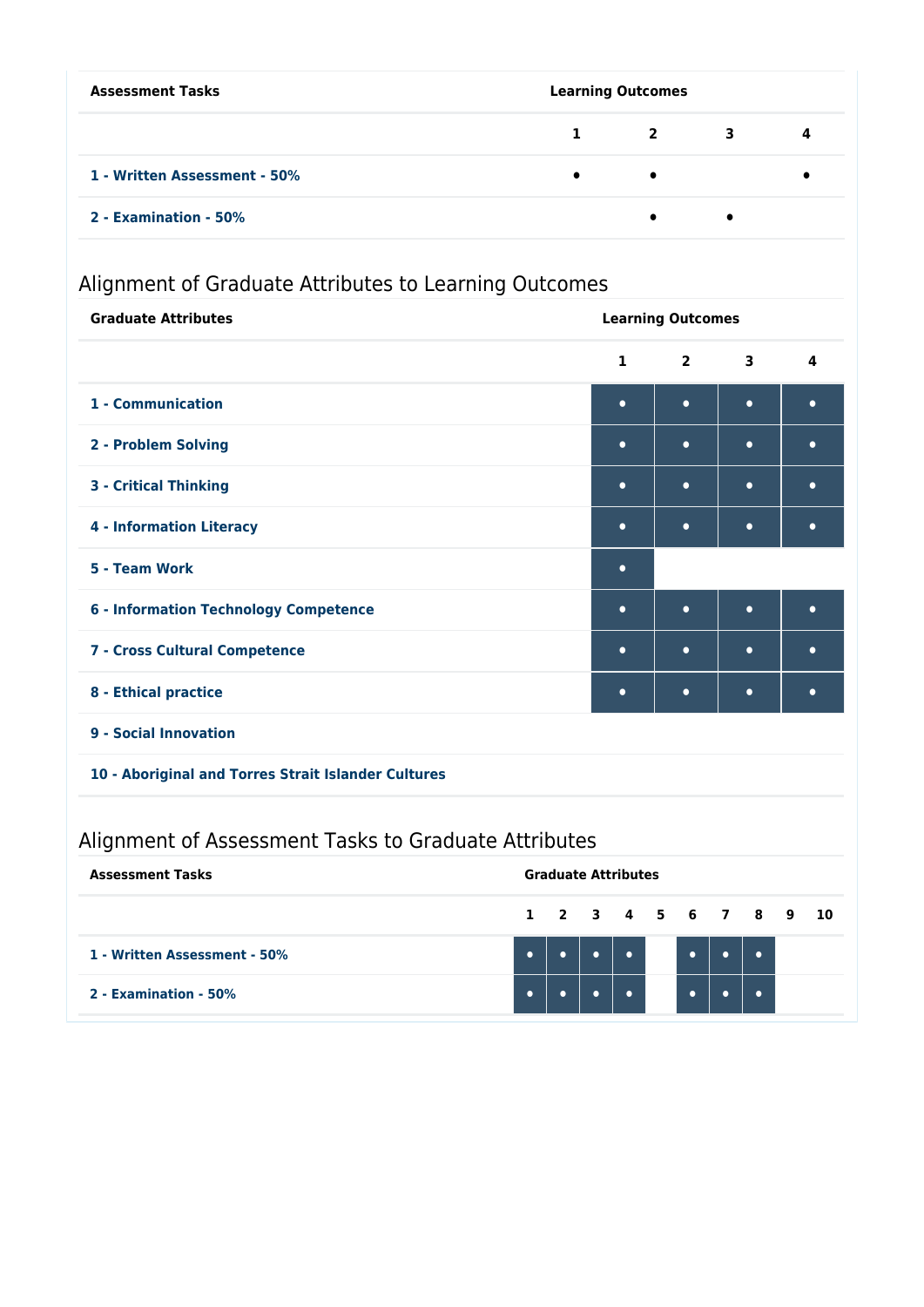| <b>Assessment Tasks</b>      | <b>Learning Outcomes</b> |                         |   |    |  |
|------------------------------|--------------------------|-------------------------|---|----|--|
|                              | 1                        | $\overline{\mathbf{2}}$ | 3 | -4 |  |
| 1 - Written Assessment - 50% | $\bullet$                | $\bullet$               |   |    |  |
| 2 - Examination - 50%        |                          | $\bullet$               |   |    |  |

# Alignment of Graduate Attributes to Learning Outcomes

| <b>Graduate Attributes</b>                          | <b>Learning Outcomes</b> |                |                         |           |  |
|-----------------------------------------------------|--------------------------|----------------|-------------------------|-----------|--|
|                                                     | $\mathbf{1}$             | $\overline{2}$ | $\overline{\mathbf{3}}$ | 4         |  |
| 1 - Communication                                   | $\bullet$                | $\bullet$      | $\bullet$               | $\bullet$ |  |
| 2 - Problem Solving                                 | $\bullet$                | $\bullet$      | $\bullet$               | $\bullet$ |  |
| <b>3 - Critical Thinking</b>                        | $\bullet$                | $\bullet$      | $\bullet$               | $\bullet$ |  |
| <b>4 - Information Literacy</b>                     | $\bullet$                | $\bullet$      | $\bullet$               | $\bullet$ |  |
| 5 - Team Work                                       | $\bullet$                |                |                         |           |  |
| <b>6 - Information Technology Competence</b>        | $\bullet$                | $\bullet$      | $\bullet$               | $\bullet$ |  |
| 7 - Cross Cultural Competence                       | $\bullet$                | $\bullet$      | $\bullet$               | $\bullet$ |  |
| 8 - Ethical practice                                | $\bullet$                | $\bullet$      | $\bullet$               | $\bullet$ |  |
| 9 - Social Innovation                               |                          |                |                         |           |  |
| 10 - Aboriginal and Torres Strait Islander Cultures |                          |                |                         |           |  |
|                                                     |                          |                |                         |           |  |

# Alignment of Assessment Tasks to Graduate Attributes

| <b>Assessment Tasks</b>      | <b>Graduate Attributes</b> |                      |  |  |  |  |  |  |
|------------------------------|----------------------------|----------------------|--|--|--|--|--|--|
|                              |                            | 1 2 3 4 5 6 7 8 9 10 |  |  |  |  |  |  |
| 1 - Written Assessment - 50% |                            |                      |  |  |  |  |  |  |
| 2 - Examination - 50%        |                            |                      |  |  |  |  |  |  |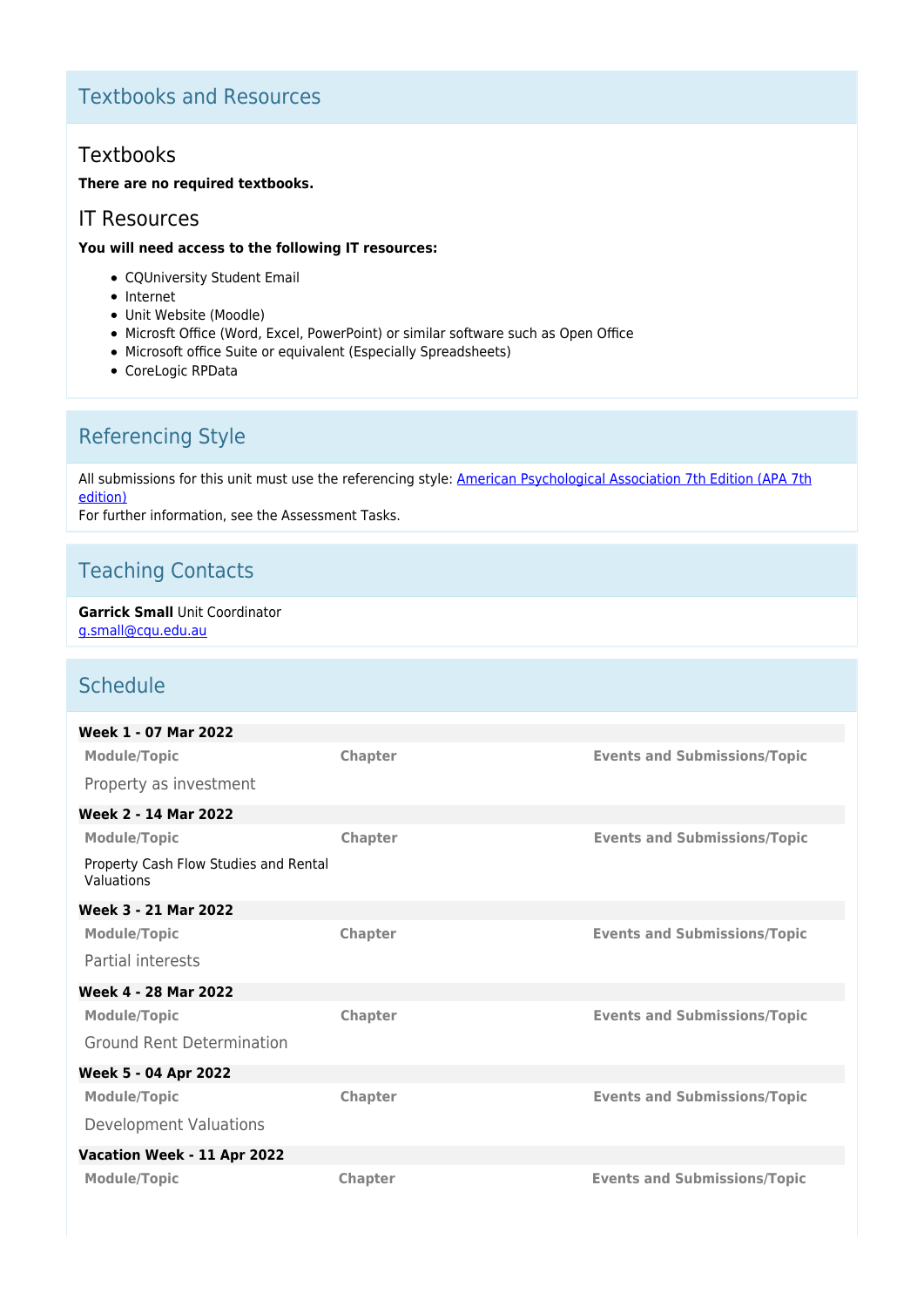## Textbooks and Resources

## Textbooks

### **There are no required textbooks.**

### IT Resources

### **You will need access to the following IT resources:**

- CQUniversity Student Email
- Internet
- Unit Website (Moodle)
- Microsft Office (Word, Excel, PowerPoint) or similar software such as Open Office
- Microsoft office Suite or equivalent (Especially Spreadsheets)
- CoreLogic RPData

## Referencing Style

All submissions for this unit must use the referencing style: [American Psychological Association 7th Edition \(APA 7th](https://delivery-cqucontenthub.stylelabs.cloud/api/public/content/apa-referencing-style.pdf?v=51e1aea7) [edition\)](https://delivery-cqucontenthub.stylelabs.cloud/api/public/content/apa-referencing-style.pdf?v=51e1aea7)

For further information, see the Assessment Tasks.

## Teaching Contacts

#### **Garrick Small** Unit Coordinator [g.small@cqu.edu.au](mailto:g.small@cqu.edu.au)

## Schedule

| Week 1 - 07 Mar 2022                                |                |                                     |
|-----------------------------------------------------|----------------|-------------------------------------|
| <b>Module/Topic</b>                                 | Chapter        | <b>Events and Submissions/Topic</b> |
| Property as investment                              |                |                                     |
| Week 2 - 14 Mar 2022                                |                |                                     |
| <b>Module/Topic</b>                                 | Chapter        | <b>Events and Submissions/Topic</b> |
| Property Cash Flow Studies and Rental<br>Valuations |                |                                     |
| Week 3 - 21 Mar 2022                                |                |                                     |
| <b>Module/Topic</b>                                 | <b>Chapter</b> | <b>Events and Submissions/Topic</b> |
| Partial interests                                   |                |                                     |
| Week 4 - 28 Mar 2022                                |                |                                     |
| <b>Module/Topic</b>                                 | <b>Chapter</b> | <b>Events and Submissions/Topic</b> |
| <b>Ground Rent Determination</b>                    |                |                                     |
| <b>Week 5 - 04 Apr 2022</b>                         |                |                                     |
| <b>Module/Topic</b>                                 | <b>Chapter</b> | <b>Events and Submissions/Topic</b> |
| <b>Development Valuations</b>                       |                |                                     |
| Vacation Week - 11 Apr 2022                         |                |                                     |
| <b>Module/Topic</b>                                 | <b>Chapter</b> | <b>Events and Submissions/Topic</b> |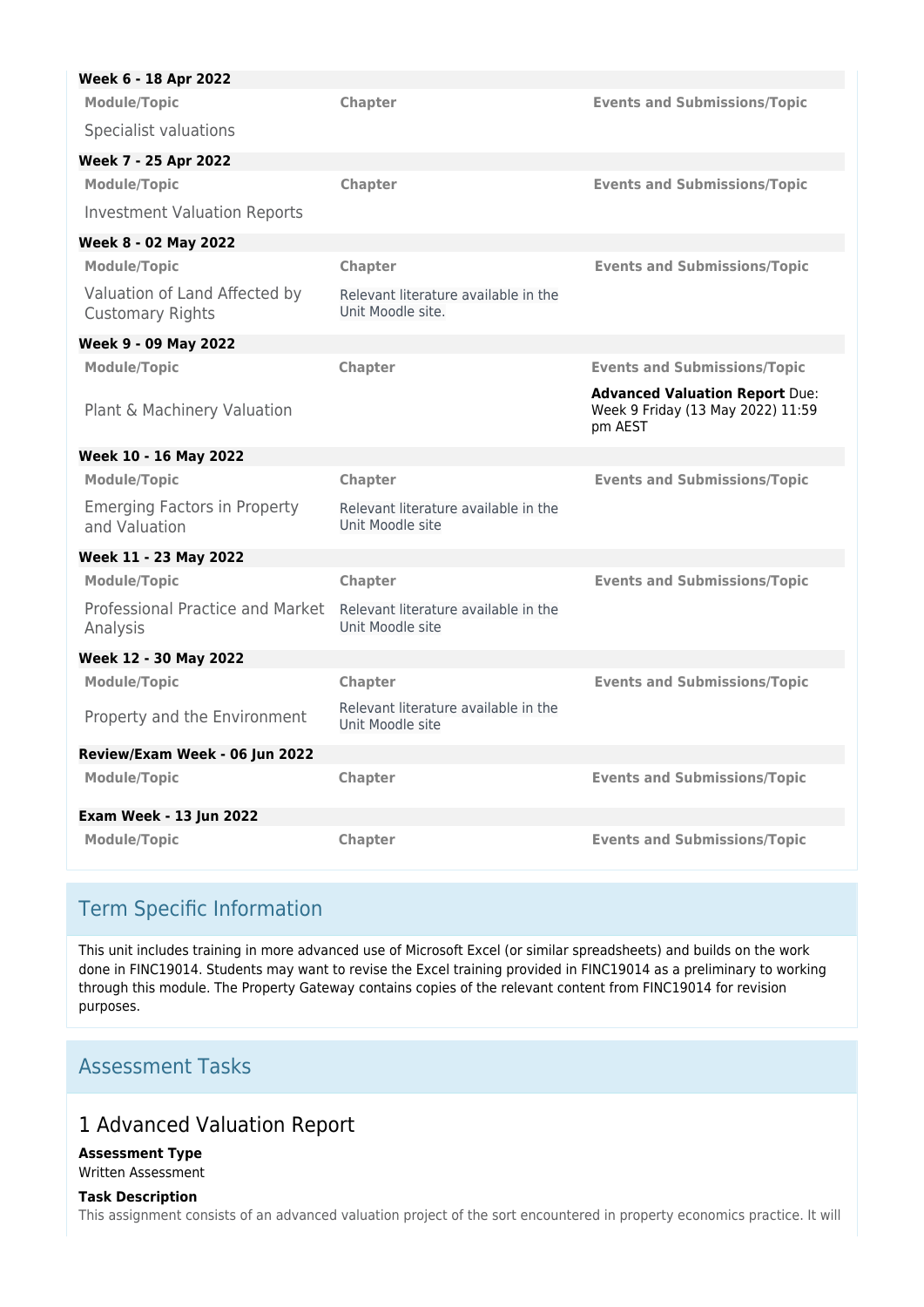| Week 6 - 18 Apr 2022                                     |                                                           |                                                                                       |
|----------------------------------------------------------|-----------------------------------------------------------|---------------------------------------------------------------------------------------|
| <b>Module/Topic</b>                                      | Chapter                                                   | <b>Events and Submissions/Topic</b>                                                   |
| Specialist valuations                                    |                                                           |                                                                                       |
| Week 7 - 25 Apr 2022                                     |                                                           |                                                                                       |
| <b>Module/Topic</b>                                      | Chapter                                                   | <b>Events and Submissions/Topic</b>                                                   |
| <b>Investment Valuation Reports</b>                      |                                                           |                                                                                       |
| Week 8 - 02 May 2022                                     |                                                           |                                                                                       |
| <b>Module/Topic</b>                                      | Chapter                                                   | <b>Events and Submissions/Topic</b>                                                   |
| Valuation of Land Affected by<br><b>Customary Rights</b> | Relevant literature available in the<br>Unit Moodle site. |                                                                                       |
| Week 9 - 09 May 2022                                     |                                                           |                                                                                       |
| <b>Module/Topic</b>                                      | <b>Chapter</b>                                            | <b>Events and Submissions/Topic</b>                                                   |
| Plant & Machinery Valuation                              |                                                           | <b>Advanced Valuation Report Due:</b><br>Week 9 Friday (13 May 2022) 11:59<br>pm AEST |
| Week 10 - 16 May 2022                                    |                                                           |                                                                                       |
| <b>Module/Topic</b>                                      | Chapter                                                   | <b>Events and Submissions/Topic</b>                                                   |
| <b>Emerging Factors in Property</b><br>and Valuation     | Relevant literature available in the<br>Unit Moodle site  |                                                                                       |
| Week 11 - 23 May 2022                                    |                                                           |                                                                                       |
| <b>Module/Topic</b>                                      | Chapter                                                   | <b>Events and Submissions/Topic</b>                                                   |
| Professional Practice and Market<br>Analysis             | Relevant literature available in the<br>Unit Moodle site  |                                                                                       |
| Week 12 - 30 May 2022                                    |                                                           |                                                                                       |
| <b>Module/Topic</b>                                      | Chapter                                                   | <b>Events and Submissions/Topic</b>                                                   |
| Property and the Environment                             | Relevant literature available in the<br>Unit Moodle site  |                                                                                       |
| Review/Exam Week - 06 Jun 2022                           |                                                           |                                                                                       |
| <b>Module/Topic</b>                                      | Chapter                                                   | <b>Events and Submissions/Topic</b>                                                   |
| <b>Exam Week - 13 Jun 2022</b>                           |                                                           |                                                                                       |
| <b>Module/Topic</b>                                      | Chapter                                                   | <b>Events and Submissions/Topic</b>                                                   |

## Term Specific Information

This unit includes training in more advanced use of Microsoft Excel (or similar spreadsheets) and builds on the work done in FINC19014. Students may want to revise the Excel training provided in FINC19014 as a preliminary to working through this module. The Property Gateway contains copies of the relevant content from FINC19014 for revision purposes.

## Assessment Tasks

## 1 Advanced Valuation Report

#### **Assessment Type** Written Assessment

### **Task Description**

This assignment consists of an advanced valuation project of the sort encountered in property economics practice. It will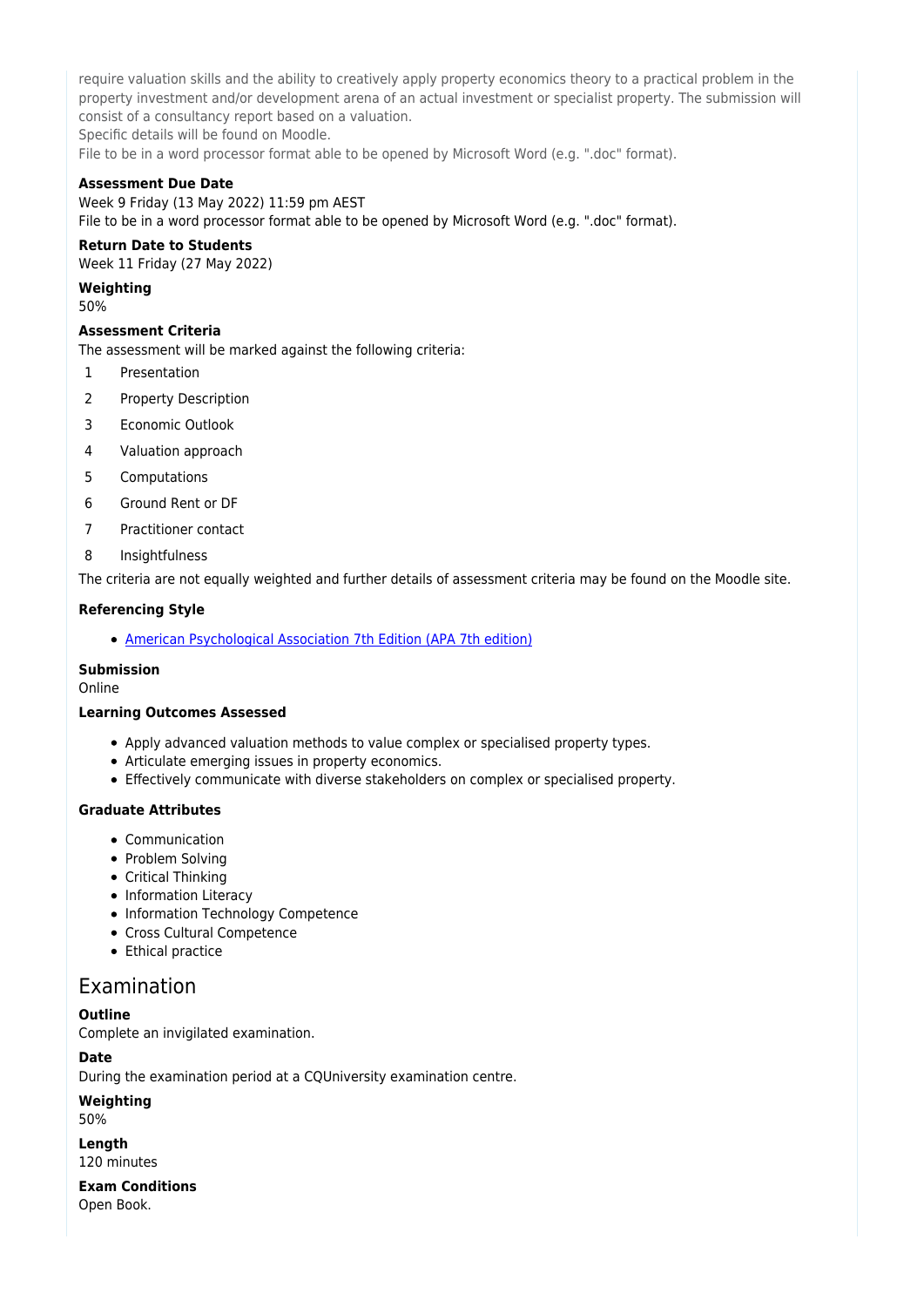require valuation skills and the ability to creatively apply property economics theory to a practical problem in the property investment and/or development arena of an actual investment or specialist property. The submission will consist of a consultancy report based on a valuation.

Specific details will be found on Moodle.

File to be in a word processor format able to be opened by Microsoft Word (e.g. ".doc" format).

### **Assessment Due Date**

Week 9 Friday (13 May 2022) 11:59 pm AEST File to be in a word processor format able to be opened by Microsoft Word (e.g. ".doc" format).

### **Return Date to Students**

Week 11 Friday (27 May 2022)

**Weighting**

50%

#### **Assessment Criteria**

The assessment will be marked against the following criteria:

- 1 Presentation
- 2 Property Description
- 3 Economic Outlook
- 4 Valuation approach
- 5 Computations
- 6 Ground Rent or DF
- 7 Practitioner contact
- 8 Insightfulness

The criteria are not equally weighted and further details of assessment criteria may be found on the Moodle site.

### **Referencing Style**

[American Psychological Association 7th Edition \(APA 7th edition\)](https://delivery-cqucontenthub.stylelabs.cloud/api/public/content/apa-referencing-style.pdf?v=51e1aea7)

#### **Submission**

Online

#### **Learning Outcomes Assessed**

- Apply advanced valuation methods to value complex or specialised property types.
- Articulate emerging issues in property economics.
- Effectively communicate with diverse stakeholders on complex or specialised property.

### **Graduate Attributes**

- Communication
- Problem Solving
- Critical Thinking
- Information Literacy
- Information Technology Competence
- Cross Cultural Competence
- Ethical practice

## Examination

### **Outline**

Complete an invigilated examination.

#### **Date**

During the examination period at a CQUniversity examination centre.

### **Weighting**

50%

#### **Length** 120 minutes

**Exam Conditions**

Open Book.